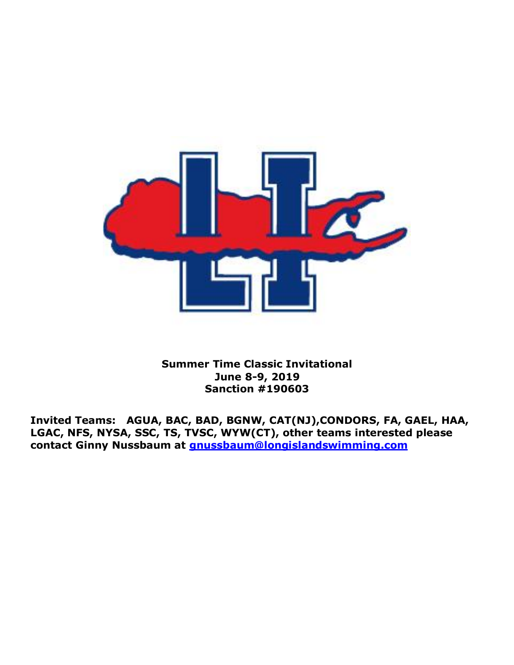

**Summer Time Classic Invitational June 8-9, 2019 Sanction #190603**

**Invited Teams: AGUA, BAC, BAD, BGNW, CAT(NJ),CONDORS, FA, GAEL, HAA, LGAC, NFS, NYSA, SSC, TS, TVSC, WYW(CT), other teams interested please contact Ginny Nussbaum at [gnussbaum@longislandswimming.com](mailto:gnussbaum@longislandswimming.com)**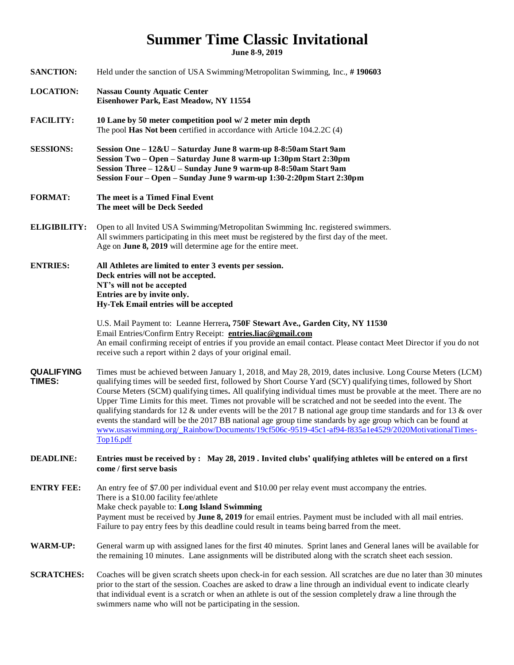## **Summer Time Classic Invitational**

**June 8-9, 2019**

| <b>SANCTION:</b>            | Held under the sanction of USA Swimming/Metropolitan Swimming, Inc., #190603                                                                                                                                                                                                                                                                                                                                                                                                                                                                                                                                                                                                                                                                                                                                                  |
|-----------------------------|-------------------------------------------------------------------------------------------------------------------------------------------------------------------------------------------------------------------------------------------------------------------------------------------------------------------------------------------------------------------------------------------------------------------------------------------------------------------------------------------------------------------------------------------------------------------------------------------------------------------------------------------------------------------------------------------------------------------------------------------------------------------------------------------------------------------------------|
| <b>LOCATION:</b>            | <b>Nassau County Aquatic Center</b><br>Eisenhower Park, East Meadow, NY 11554                                                                                                                                                                                                                                                                                                                                                                                                                                                                                                                                                                                                                                                                                                                                                 |
| <b>FACILITY:</b>            | 10 Lane by 50 meter competition pool w/ 2 meter min depth<br>The pool Has Not been certified in accordance with Article 104.2.2C (4)                                                                                                                                                                                                                                                                                                                                                                                                                                                                                                                                                                                                                                                                                          |
| <b>SESSIONS:</b>            | Session One - 12&U - Saturday June 8 warm-up 8-8:50am Start 9am<br>Session Two - Open - Saturday June 8 warm-up 1:30pm Start 2:30pm<br>Session Three - 12&U - Sunday June 9 warm-up 8-8:50am Start 9am<br>Session Four - Open - Sunday June 9 warm-up 1:30-2:20pm Start 2:30pm                                                                                                                                                                                                                                                                                                                                                                                                                                                                                                                                                |
| <b>FORMAT:</b>              | The meet is a Timed Final Event<br>The meet will be Deck Seeded                                                                                                                                                                                                                                                                                                                                                                                                                                                                                                                                                                                                                                                                                                                                                               |
| <b>ELIGIBILITY:</b>         | Open to all Invited USA Swimming/Metropolitan Swimming Inc. registered swimmers.<br>All swimmers participating in this meet must be registered by the first day of the meet.<br>Age on June 8, 2019 will determine age for the entire meet.                                                                                                                                                                                                                                                                                                                                                                                                                                                                                                                                                                                   |
| <b>ENTRIES:</b>             | All Athletes are limited to enter 3 events per session.<br>Deck entries will not be accepted.<br>NT's will not be accepted<br>Entries are by invite only.<br>Hy-Tek Email entries will be accepted                                                                                                                                                                                                                                                                                                                                                                                                                                                                                                                                                                                                                            |
|                             | U.S. Mail Payment to: Leanne Herrera, 750F Stewart Ave., Garden City, NY 11530<br>Email Entries/Confirm Entry Receipt: entries.liac@gmail.com<br>An email confirming receipt of entries if you provide an email contact. Please contact Meet Director if you do not<br>receive such a report within 2 days of your original email.                                                                                                                                                                                                                                                                                                                                                                                                                                                                                            |
| <b>QUALIFYING</b><br>TIMES: | Times must be achieved between January 1, 2018, and May 28, 2019, dates inclusive. Long Course Meters (LCM)<br>qualifying times will be seeded first, followed by Short Course Yard (SCY) qualifying times, followed by Short<br>Course Meters (SCM) qualifying times. All qualifying individual times must be provable at the meet. There are no<br>Upper Time Limits for this meet. Times not provable will be scratched and not be seeded into the event. The<br>qualifying standards for 12 $\&$ under events will be the 2017 B national age group time standards and for 13 $\&$ over<br>events the standard will be the 2017 BB national age group time standards by age group which can be found at<br>www.usaswimming.org/_Rainbow/Documents/19cf506c-9519-45c1-af94-f835a1e4529/2020MotivationalTimes-<br>Top16.pdf |
| <b>DEADLINE:</b>            | Entries must be received by: May 28, 2019. Invited clubs' qualifying athletes will be entered on a first<br>come / first serve basis                                                                                                                                                                                                                                                                                                                                                                                                                                                                                                                                                                                                                                                                                          |
| <b>ENTRY FEE:</b>           | An entry fee of \$7.00 per individual event and \$10.00 per relay event must accompany the entries.<br>There is a \$10.00 facility fee/athlete<br>Make check payable to: Long Island Swimming<br>Payment must be received by June 8, 2019 for email entries. Payment must be included with all mail entries.<br>Failure to pay entry fees by this deadline could result in teams being barred from the meet.                                                                                                                                                                                                                                                                                                                                                                                                                  |
| <b>WARM-UP:</b>             | General warm up with assigned lanes for the first 40 minutes. Sprint lanes and General lanes will be available for<br>the remaining 10 minutes. Lane assignments will be distributed along with the scratch sheet each session.                                                                                                                                                                                                                                                                                                                                                                                                                                                                                                                                                                                               |
| <b>SCRATCHES:</b>           | Coaches will be given scratch sheets upon check-in for each session. All scratches are due no later than 30 minutes<br>prior to the start of the session. Coaches are asked to draw a line through an individual event to indicate clearly<br>that individual event is a scratch or when an athlete is out of the session completely draw a line through the<br>swimmers name who will not be participating in the session.                                                                                                                                                                                                                                                                                                                                                                                                   |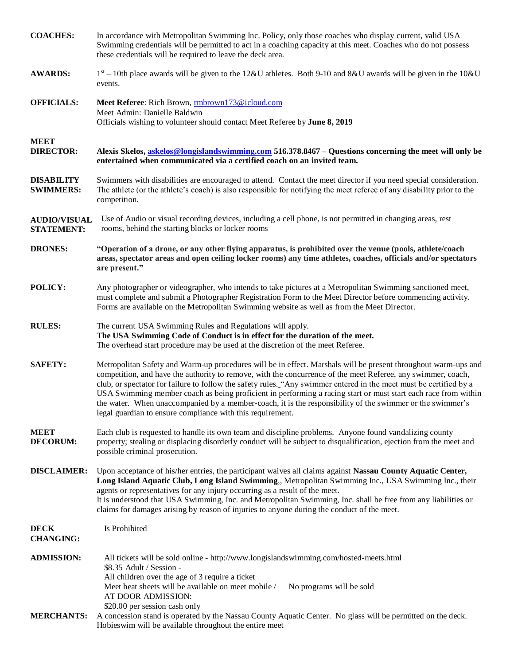| <b>COACHES:</b>                          | In accordance with Metropolitan Swimming Inc. Policy, only those coaches who display current, valid USA<br>Swimming credentials will be permitted to act in a coaching capacity at this meet. Coaches who do not possess<br>these credentials will be required to leave the deck area.                                                                                                                                                                                                                                                                                                                                                            |
|------------------------------------------|---------------------------------------------------------------------------------------------------------------------------------------------------------------------------------------------------------------------------------------------------------------------------------------------------------------------------------------------------------------------------------------------------------------------------------------------------------------------------------------------------------------------------------------------------------------------------------------------------------------------------------------------------|
| <b>AWARDS:</b>                           | $1st - 10th$ place awards will be given to the 12&U athletes. Both 9-10 and 8&U awards will be given in the 10&U<br>events.                                                                                                                                                                                                                                                                                                                                                                                                                                                                                                                       |
| <b>OFFICIALS:</b>                        | Meet Referee: Rich Brown, mbrown173@icloud.com<br>Meet Admin: Danielle Baldwin<br>Officials wishing to volunteer should contact Meet Referee by June 8, 2019                                                                                                                                                                                                                                                                                                                                                                                                                                                                                      |
| <b>MEET</b><br><b>DIRECTOR:</b>          | Alexis Skelos, askelos@longislandswimming.com 516.378.8467 – Questions concerning the meet will only be<br>entertained when communicated via a certified coach on an invited team.                                                                                                                                                                                                                                                                                                                                                                                                                                                                |
| <b>DISABILITY</b><br><b>SWIMMERS:</b>    | Swimmers with disabilities are encouraged to attend. Contact the meet director if you need special consideration.<br>The athlete (or the athlete's coach) is also responsible for notifying the meet referee of any disability prior to the<br>competition.                                                                                                                                                                                                                                                                                                                                                                                       |
| <b>AUDIO/VISUAL</b><br><b>STATEMENT:</b> | Use of Audio or visual recording devices, including a cell phone, is not permitted in changing areas, rest<br>rooms, behind the starting blocks or locker rooms                                                                                                                                                                                                                                                                                                                                                                                                                                                                                   |
| <b>DRONES:</b>                           | "Operation of a drone, or any other flying apparatus, is prohibited over the venue (pools, athlete/coach<br>areas, spectator areas and open ceiling locker rooms) any time athletes, coaches, officials and/or spectators<br>are present."                                                                                                                                                                                                                                                                                                                                                                                                        |
| <b>POLICY:</b>                           | Any photographer or videographer, who intends to take pictures at a Metropolitan Swimming sanctioned meet,<br>must complete and submit a Photographer Registration Form to the Meet Director before commencing activity.<br>Forms are available on the Metropolitan Swimming website as well as from the Meet Director.                                                                                                                                                                                                                                                                                                                           |
| <b>RULES:</b>                            | The current USA Swimming Rules and Regulations will apply.<br>The USA Swimming Code of Conduct is in effect for the duration of the meet.<br>The overhead start procedure may be used at the discretion of the meet Referee.                                                                                                                                                                                                                                                                                                                                                                                                                      |
| <b>SAFETY:</b>                           | Metropolitan Safety and Warm-up procedures will be in effect. Marshals will be present throughout warm-ups and<br>competition, and have the authority to remove, with the concurrence of the meet Referee, any swimmer, coach,<br>club, or spectator for failure to follow the safety rules. "Any swimmer entered in the meet must be certified by a<br>USA Swimming member coach as being proficient in performing a racing start or must start each race from within<br>the water. When unaccompanied by a member-coach, it is the responsibility of the swimmer or the swimmer's<br>legal guardian to ensure compliance with this requirement. |
| <b>MEET</b><br><b>DECORUM:</b>           | Each club is requested to handle its own team and discipline problems. Anyone found vandalizing county<br>property; stealing or displacing disorderly conduct will be subject to disqualification, ejection from the meet and<br>possible criminal prosecution.                                                                                                                                                                                                                                                                                                                                                                                   |
| <b>DISCLAIMER:</b>                       | Upon acceptance of his/her entries, the participant waives all claims against Nassau County Aquatic Center,<br>Long Island Aquatic Club, Long Island Swimming,, Metropolitan Swimming Inc., USA Swimming Inc., their<br>agents or representatives for any injury occurring as a result of the meet.<br>It is understood that USA Swimming, Inc. and Metropolitan Swimming, Inc. shall be free from any liabilities or<br>claims for damages arising by reason of injuries to anyone during the conduct of the meet.                                                                                                                               |
| <b>DECK</b><br><b>CHANGING:</b>          | Is Prohibited                                                                                                                                                                                                                                                                                                                                                                                                                                                                                                                                                                                                                                     |
| <b>ADMISSION:</b>                        | All tickets will be sold online - http://www.longislandswimming.com/hosted-meets.html<br>\$8.35 Adult / Session -<br>All children over the age of 3 require a ticket<br>Meet heat sheets will be available on meet mobile /<br>No programs will be sold<br>AT DOOR ADMISSION:                                                                                                                                                                                                                                                                                                                                                                     |
| <b>MERCHANTS:</b>                        | \$20.00 per session cash only<br>A concession stand is operated by the Nassau County Aquatic Center. No glass will be permitted on the deck.<br>Hobies wim will be available throughout the entire meet                                                                                                                                                                                                                                                                                                                                                                                                                                           |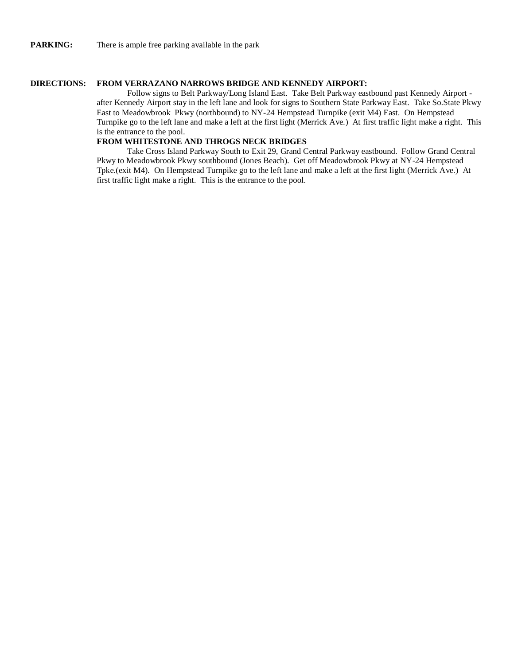## **DIRECTIONS: FROM VERRAZANO NARROWS BRIDGE AND KENNEDY AIRPORT:**

Follow signs to Belt Parkway/Long Island East. Take Belt Parkway eastbound past Kennedy Airport after Kennedy Airport stay in the left lane and look for signs to Southern State Parkway East. Take So.State Pkwy East to Meadowbrook Pkwy (northbound) to NY-24 Hempstead Turnpike (exit M4) East. On Hempstead Turnpike go to the left lane and make a left at the first light (Merrick Ave.) At first traffic light make a right. This is the entrance to the pool.

## **FROM WHITESTONE AND THROGS NECK BRIDGES**

Take Cross Island Parkway South to Exit 29, Grand Central Parkway eastbound. Follow Grand Central Pkwy to Meadowbrook Pkwy southbound (Jones Beach). Get off Meadowbrook Pkwy at NY-24 Hempstead Tpke.(exit M4). On Hempstead Turnpike go to the left lane and make a left at the first light (Merrick Ave.) At first traffic light make a right. This is the entrance to the pool.